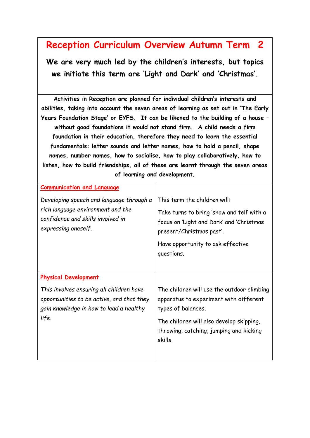## **Reception Curriculum Overview Autumn Term 2**

**We are very much led by the children's interests, but topics we initiate this term are 'Light and Dark' and 'Christmas'.**

**Activities in Reception are planned for individual children's interests and abilities, taking into account the seven areas of learning as set out in 'The Early Years Foundation Stage' or EYFS. It can be likened to the building of a house – without good foundations it would not stand firm. A child needs a firm foundation in their education, therefore they need to learn the essential fundamentals: letter sounds and letter names, how to hold a pencil, shape names, number names, how to socialise, how to play collaboratively, how to listen, how to build friendships, all of these are learnt through the seven areas of learning and development.**

| <b>Communication and Language</b>                                                                                                         |                                                                                                                    |
|-------------------------------------------------------------------------------------------------------------------------------------------|--------------------------------------------------------------------------------------------------------------------|
| Developing speech and language through a                                                                                                  | This term the children will:                                                                                       |
| rich language environment and the<br>confidence and skills involved in<br>expressing oneself.                                             | Take turns to bring 'show and tell' with a<br>focus on 'Light and Dark' and 'Christmas<br>present/Christmas past'. |
|                                                                                                                                           | Have opportunity to ask effective                                                                                  |
|                                                                                                                                           | questions.                                                                                                         |
|                                                                                                                                           |                                                                                                                    |
| <b>Physical Development</b>                                                                                                               |                                                                                                                    |
| This involves ensuring all children have<br>opportunities to be active, and that they<br>gain knowledge in how to lead a healthy<br>life. | The children will use the outdoor climbing<br>apparatus to experiment with different<br>types of balances.         |
|                                                                                                                                           | The children will also develop skipping,<br>throwing, catching, jumping and kicking<br>skills.                     |
|                                                                                                                                           |                                                                                                                    |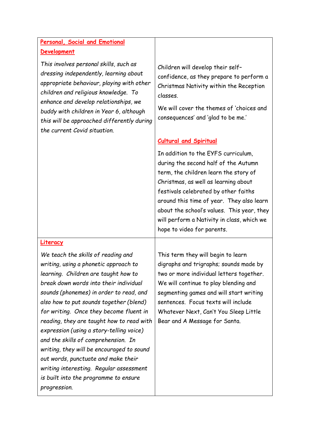## **Personal, Social and Emotional Development**

*This involves personal skills, such as dressing independently, learning about appropriate behaviour, playing with other children and religious knowledge. To enhance and develop relationships, we buddy with children in Year 6, although this will be approached differently during the current Covid situation.*

Children will develop their self– confidence, as they prepare to perform a Christmas Nativity within the Reception classes.

We will cover the themes of 'choices and consequences' and 'glad to be me.'

## **Cultural and Spiritual**

In addition to the EYFS curriculum, during the second half of the Autumn term, the children learn the story of Christmas, as well as learning about festivals celebrated by other faiths around this time of year. They also learn about the school's values. This year, they will perform a Nativity in class, which we hope to video for parents.

## **Literacy**

*We teach the skills of reading and writing, using a phonetic approach to learning. Children are taught how to break down words into their individual sounds (phonemes) in order to read, and also how to put sounds together (blend) for writing. Once they become fluent in reading, they are taught how to read with expression (using a story-telling voice) and the skills of comprehension. In writing, they will be encouraged to sound out words, punctuate and make their writing interesting. Regular assessment is built into the programme to ensure progression.* 

This term they will begin to learn digraphs and trigraphs; sounds made by two or more individual letters together. We will continue to play blending and segmenting games and will start writing sentences. Focus texts will include Whatever Next, Can't You Sleep Little Bear and A Message for Santa.